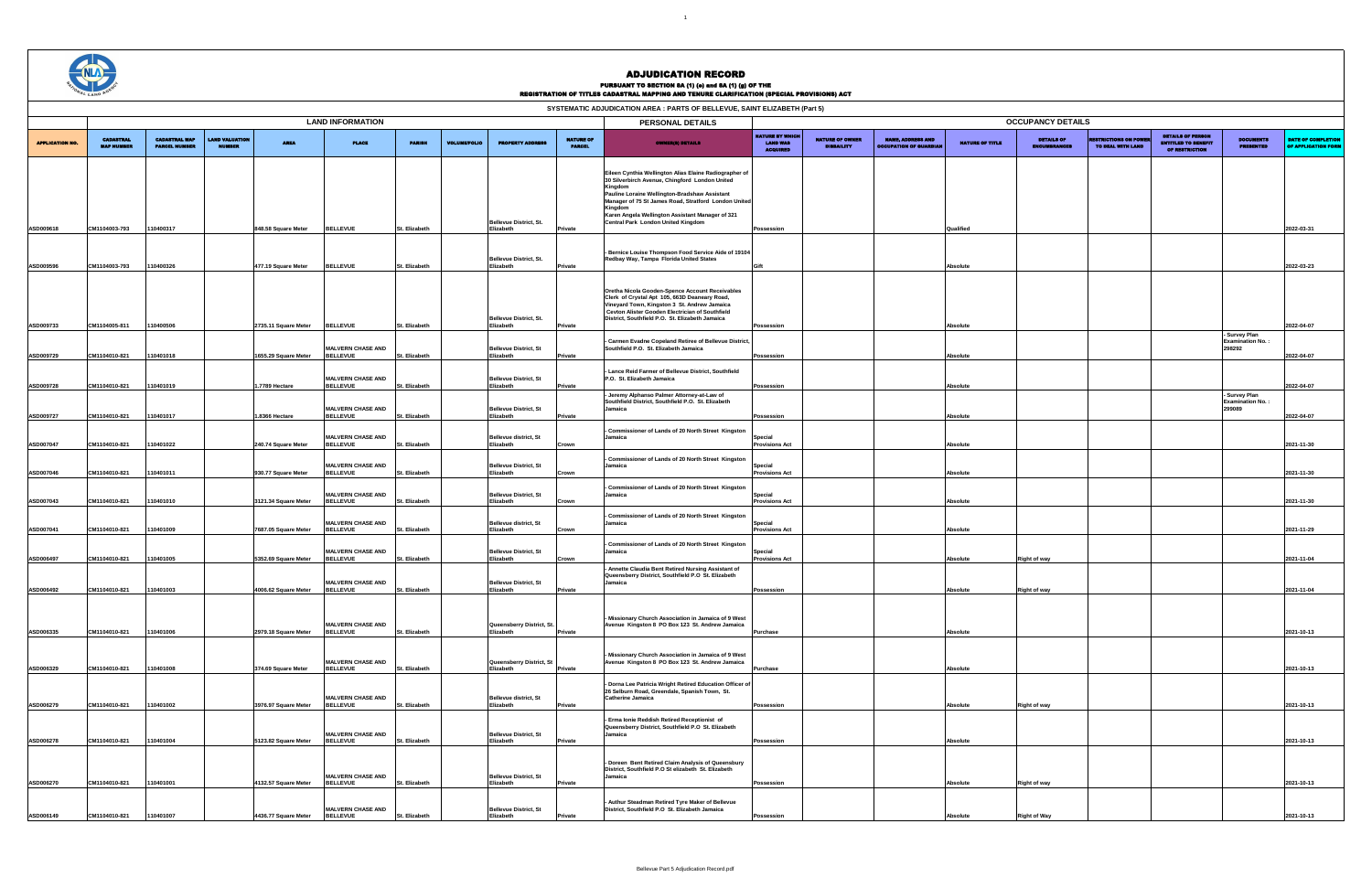1



## ADJUDICATION RECORD PURSUANT TO SECTION 8A (1) (0) and 8A (1) (g) OF THE<br>REGISTRATION OF TITLES CADASTRAL MAPPING AND TENURE CLARIFICATION (SPECIAL PROVISIONS) ACT

|                        |                                       |                                              |                          |                                              |                                                                         |                                |                     |                                                                           |                                   | SYSTEMATIC ADJUDICATION AREA : PARTS OF BELLEVUE, SAINT ELIZABETH (Part 5)                                                                                                                                                                                                                                                        |                                                              |                                             |                                                          |                        |                                          |                                       |                                                                          |                                                    |                                           |
|------------------------|---------------------------------------|----------------------------------------------|--------------------------|----------------------------------------------|-------------------------------------------------------------------------|--------------------------------|---------------------|---------------------------------------------------------------------------|-----------------------------------|-----------------------------------------------------------------------------------------------------------------------------------------------------------------------------------------------------------------------------------------------------------------------------------------------------------------------------------|--------------------------------------------------------------|---------------------------------------------|----------------------------------------------------------|------------------------|------------------------------------------|---------------------------------------|--------------------------------------------------------------------------|----------------------------------------------------|-------------------------------------------|
|                        |                                       |                                              |                          |                                              | <b>LAND INFORMATION</b>                                                 |                                |                     |                                                                           | <b>OCCUPANCY DETAILS</b>          |                                                                                                                                                                                                                                                                                                                                   |                                                              |                                             |                                                          |                        |                                          |                                       |                                                                          |                                                    |                                           |
| <b>APPLICATION NO.</b> | <b>CADASTRAL</b><br><b>MAP MUMBER</b> | <b>CADASTRAL MAP</b><br><b>PARCEL MUMBER</b> | LAND VALUATIOI<br>NUMBER | <b>AREA</b>                                  | <b>PLACE</b>                                                            | <b>PARISH</b>                  | <b>VOLUME/FOLIO</b> | <b>PROPERTY ADDRES</b>                                                    | <b>NATURE OF</b><br><b>PARCHI</b> | <b>OWNER(8) DETAILS</b>                                                                                                                                                                                                                                                                                                           | <b>NATURE BY WHICH</b><br><b>LAND WAS</b><br><b>ACQUIRED</b> | <b>NATURE OF OWNER</b><br><b>DISBAILITY</b> | <b>NAME, ADDRESS AND</b><br><b>DCCUPATION OF GUARDIA</b> | <b>NATURE OF TITLE</b> | <b>DETAILS OF</b><br><b>FMCUMBRAMCRS</b> | STRICTIONS ON PO<br>TO DEAL WITH LAND | <b>DETAILS OF PERSON</b><br><b>ENTITLED TO BENEFIT</b><br>OF RESTRICTION | <b>DOCUMENTS</b><br><b>PRESENTED</b>               | DATE OF COMPLETION<br>OF APPLICATION FORM |
| <b>ASD009618</b>       | CM1104003-793                         | 110400317                                    | 848.58 Square Meter      |                                              | <b>BELLEVUE</b>                                                         | St. Elizabeth                  |                     | Bellevue District, St.<br>Elizabeth                                       | Private                           | Eileen Cynthia Wellington Alias Elaine Radiographer of<br>30 Silverbirch Avenue, Chingford London United<br>Kingdor<br>Pauline Loraine Wellington-Bradshaw Assistant<br>Manager of 75 St James Road, Stratford London United<br>Kingdom<br>Karen Angela Wellington Assistant Manager of 321<br>Central Park London United Kingdom | Possession                                                   |                                             |                                                          | Qualified              |                                          |                                       |                                                                          |                                                    | 2022-03-31                                |
| ASD009596              | CM1104003-793                         | 10400326                                     |                          | 477.19 Square Meter                          | <b>BELLEVUE</b>                                                         | St. Elizabeth                  |                     | <b>Bellevue District, St.</b><br>Elizabeth                                | Private                           | Bernice Louise Thompson Food Service Aide of 19104<br>Redbay Way, Tampa Florida United States                                                                                                                                                                                                                                     |                                                              |                                             |                                                          | <b>Absolute</b>        |                                          |                                       |                                                                          |                                                    | 2022-03-23                                |
| <b>ASD009733</b>       | CM1104005-811                         | 10400506                                     |                          | 2735.11 Square Meter                         | <b>BELLEVUE</b>                                                         | St. Elizabeth                  |                     | <b>Bellevue District, St.</b><br>Elizabeth                                | Private                           | Oretha Nicola Gooden-Spence Account Receivables<br>Clerk of Crystal Apt 105, 663D Deaneary Road,<br>Vineyard Town, Kingston 3 St. Andrew Jamaica<br>Cevton Alister Gooden Electrician of Southfield<br>District, Southfield P.O. St. Elizabeth Jamaica                                                                            | Possession                                                   |                                             |                                                          | Absolute               |                                          |                                       |                                                                          |                                                    | 2022-04-07                                |
| <b>ASD009729</b>       | CM1104010-821                         | 10401018                                     |                          | 1655.29 Square Meter                         | <b>MALVERN CHASE AND</b><br><b>BELLEVUE</b>                             | St. Elizabeth                  |                     | <b>Bellevue District, St</b><br>Elizabeth                                 | Private                           | Carmen Evadne Copeland Retiree of Bellevue District<br>Southfield P.O. St. Elizabeth Jamaica                                                                                                                                                                                                                                      | <b>Possession</b>                                            |                                             |                                                          | Absolute               |                                          |                                       |                                                                          | - Survey Plan<br><b>Examination No.:</b><br>298292 | 2022-04-07                                |
| <b>ASD009728</b>       | CM1104010-821                         | 10401019                                     |                          | 1.7789 Hectare                               | <b>MALVERN CHASE AND</b><br><b>BELLEVUE</b>                             | t. Elizabeth                   |                     | <b>Bellevue District, St</b><br>Elizabeth                                 | rivate                            | Lance Reid Farmer of Bellevue District, Southfield<br>P.O. St. Elizabeth Jamaica                                                                                                                                                                                                                                                  | <b>Possession</b>                                            |                                             |                                                          | Absolute               |                                          |                                       |                                                                          |                                                    | 2022-04-07                                |
| ASD009727              | CM1104010-821                         | 10401017                                     |                          | 1.8366 Hectare                               | <b>MALVERN CHASE AND</b><br><b>BELLEVUE</b>                             | St. Elizabeth                  |                     | <b>Bellevue District, St</b><br>Elizabeth                                 | Private                           | Jeremy Alphanso Palmer Attorney-at-Law of<br>Southfield District, Southfield P.O. St. Elizabeth<br>Jamaica                                                                                                                                                                                                                        | <b>Possession</b>                                            |                                             |                                                          | <b>Absolute</b>        |                                          |                                       |                                                                          | - Survey Plan<br><b>Examination No.:</b><br>299089 | 2022-04-07                                |
| ASD007047              | CM1104010-821                         | 10401022                                     |                          | 240.74 Square Meter                          | <b>MALVERN CHASE AND</b><br><b>BELLEVUE</b>                             | St. Elizabeth                  |                     | <b>Bellevue district, St</b><br>Elizabeth                                 | Crown                             | Commissioner of Lands of 20 North Street Kingston<br>Jamaica<br>Commissioner of Lands of 20 North Street Kingston                                                                                                                                                                                                                 | Special<br><b>Provisions Act</b>                             |                                             |                                                          | <b>Absolute</b>        |                                          |                                       |                                                                          |                                                    | 2021-11-30                                |
| <b>ASD007046</b>       | CM1104010-821                         | 10401011                                     |                          | 930.77 Square Meter                          | <b>MALVERN CHASE AND</b><br><b>BELLEVUE</b><br><b>MALVERN CHASE AND</b> | St. Elizabeth                  |                     | <b>Bellevue District, St</b><br>Elizabeth<br><b>Bellevue District, St</b> | Crown                             | Jamaica<br>Commissioner of Lands of 20 North Street Kingston<br>Jamaica                                                                                                                                                                                                                                                           | Special<br><b>Provisions Act</b><br>Special                  |                                             |                                                          | Absolute               |                                          |                                       |                                                                          |                                                    | 2021-11-30                                |
| <b>ASD007043</b>       | CM1104010-821                         | 10401010                                     |                          | 3121.34 Square Meter                         | <b>BELLEVUE</b><br><b>MALVERN CHASE AND</b>                             | St. Elizabeth                  |                     | Elizabeth<br><b>Bellevue district, St</b>                                 | Crown                             | Commissioner of Lands of 20 North Street Kingston<br>Jamaica                                                                                                                                                                                                                                                                      | <b>Provisions Act</b><br>Special                             |                                             |                                                          | Absolute               |                                          |                                       |                                                                          |                                                    | 2021-11-30                                |
| ASD007041<br>ASD006497 | CM1104010-821<br>CM1104010-821        | 10401009<br>110401005                        |                          | 7687.05 Square Meter<br>5352.69 Square Meter | <b>BELLEVUE</b><br><b>MALVERN CHASE AND</b><br><b>BELLEVUE</b>          | St. Elizabeth<br>St. Elizabeth |                     | Elizabeth<br><b>Bellevue District, St</b><br>Elizabeth                    | Crown<br>Crown                    | Commissioner of Lands of 20 North Street Kingston<br>Jamaica                                                                                                                                                                                                                                                                      | <b>Provisions Act</b><br>Special<br><b>Provisions Act</b>    |                                             |                                                          | Absolute<br>Absolute   | <b>Right of way</b>                      |                                       |                                                                          |                                                    | 2021-11-29<br>2021-11-04                  |
| <b>ASD006492</b>       | CM1104010-821                         | 10401003                                     |                          | 4006.62 Square Meter                         | <b>MALVERN CHASE AND</b><br><b>BELLEVUE</b>                             | St. Elizabeth                  |                     | <b>Bellevue District, St</b><br>Elizabeth                                 | Private                           | Annette Claudia Bent Retired Nursing Assistant of<br>Queensberry District, Southfield P.O St. Elizabeth<br>Jamaica                                                                                                                                                                                                                | Possession                                                   |                                             |                                                          | Absolute               | <b>Right of way</b>                      |                                       |                                                                          |                                                    | 2021-11-04                                |
| ASD006335              | CM1104010-821                         | 110401006                                    |                          | 2979.18 Square Meter                         | <b>MALVERN CHASE AND</b><br><b>BELLEVUE</b>                             | St. Elizabeth                  |                     | Queensberry District, St.<br>Elizabeth                                    | Private                           | Missionary Church Association in Jamaica of 9 West<br>Avenue Kingston 8 PO Box 123 St. Andrew Jamaica                                                                                                                                                                                                                             | <b>Purchase</b>                                              |                                             |                                                          | Absolute               |                                          |                                       |                                                                          |                                                    | 2021-10-13                                |
| <b>ASD006329</b>       | CM1104010-821                         | 10401008                                     |                          | 374.69 Square Meter                          | <b>MALVERN CHASE AND</b><br><b>BELLEVUE</b>                             | St. Elizabeth                  |                     | Queensberry District, St<br>Elizabeth                                     | Private                           | Missionary Church Association in Jamaica of 9 West<br>Avenue Kingston 8 PO Box 123 St. Andrew Jamaica                                                                                                                                                                                                                             | <b>Purchase</b>                                              |                                             |                                                          | Absolute               |                                          |                                       |                                                                          |                                                    | 2021-10-13                                |
| <b>ASD006279</b>       | CM1104010-821                         | 10401002                                     |                          | 3976.97 Square Meter                         | <b>MALVERN CHASE AND</b><br><b>BELLEVUE</b>                             | St. Elizabeth                  |                     | <b>Bellevue district, St</b><br>Elizabeth                                 | Private                           | - Dorna Lee Patricia Wright Retired Education Officer of<br>26 Selburn Road, Greendale, Spanish Town, St.<br><b>Catherine Jamaica</b>                                                                                                                                                                                             | Possession                                                   |                                             |                                                          | Absolute               | <b>Right of way</b>                      |                                       |                                                                          |                                                    | 2021-10-13                                |
| ASD006278              | CM1104010-821                         | 110401004                                    |                          | 5123.82 Square Meter                         | <b>MALVERN CHASE AND</b><br><b>BELLEVUE</b>                             | St. Elizabeth                  |                     | <b>Bellevue District, St</b><br>Elizabeth                                 | Private                           | - Erma Ionie Reddish Retired Receptionist of<br>Queensberry District, Southfield P.O St. Elizabeth<br>Jamaica                                                                                                                                                                                                                     | Possession                                                   |                                             |                                                          | Absolute               |                                          |                                       |                                                                          |                                                    | 2021-10-13                                |
| <b>ASD006270</b>       | CM1104010-821                         | 110401001                                    |                          | 4132.57 Square Meter                         | <b>MALVERN CHASE AND</b><br><b>BELLEVUE</b>                             | St. Elizabeth                  |                     | <b>Bellevue District, St</b><br>Elizabeth                                 | Private                           | - Doreen Bent Retired Claim Analysis of Queensbury<br>District, Southfield P.O St elizabeth St. Elizabeth<br>Jamaica                                                                                                                                                                                                              | Possession                                                   |                                             |                                                          | Absolute               | <b>Right of way</b>                      |                                       |                                                                          |                                                    | 2021-10-13                                |
| <b>ASD006149</b>       | CM1104010-821                         | 110401007                                    |                          | 4436.77 Square Meter                         | <b>MALVERN CHASE AND</b><br><b>BELLEVUE</b>                             | St. Elizabeth                  |                     | <b>Bellevue District, St</b><br>Elizabeth                                 | Private                           | Authur Steadman Retired Tyre Maker of Bellevue<br>District, Southfield P.O St. Elizabeth Jamaica                                                                                                                                                                                                                                  | <b>Possession</b>                                            |                                             |                                                          | Absolute               | <b>Right of Way</b>                      |                                       |                                                                          |                                                    | 2021-10-13                                |